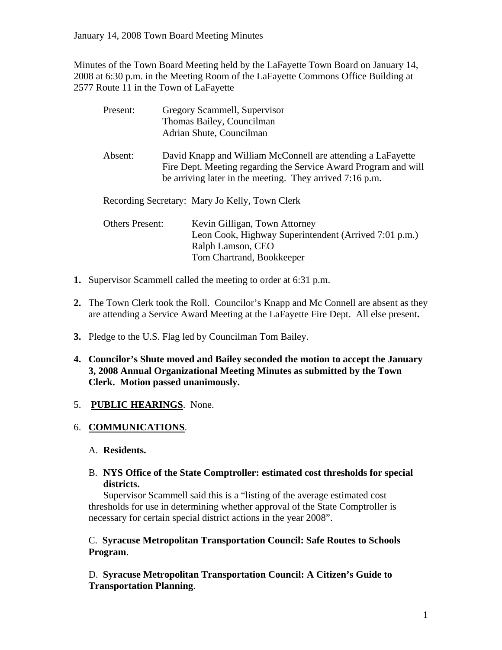Minutes of the Town Board Meeting held by the LaFayette Town Board on January 14, 2008 at 6:30 p.m. in the Meeting Room of the LaFayette Commons Office Building at 2577 Route 11 in the Town of LaFayette

| Present:               |  | Gregory Scammell, Supervisor                                                                                                                                                               |
|------------------------|--|--------------------------------------------------------------------------------------------------------------------------------------------------------------------------------------------|
|                        |  | Thomas Bailey, Councilman                                                                                                                                                                  |
|                        |  | Adrian Shute, Councilman                                                                                                                                                                   |
| Absent:                |  | David Knapp and William McConnell are attending a LaFayette<br>Fire Dept. Meeting regarding the Service Award Program and will<br>be arriving later in the meeting. They arrived 7:16 p.m. |
|                        |  | Recording Secretary: Mary Jo Kelly, Town Clerk                                                                                                                                             |
| <b>Others Present:</b> |  | Kevin Gilligan, Town Attorney                                                                                                                                                              |
|                        |  | Leon Cook, Highway Superintendent (Arrived 7:01 p.m.)                                                                                                                                      |
|                        |  |                                                                                                                                                                                            |
|                        |  | Tom Chartrand, Bookkeeper                                                                                                                                                                  |
|                        |  | Ralph Lamson, CEO                                                                                                                                                                          |

- **1.** Supervisor Scammell called the meeting to order at 6:31 p.m.
- **2.** The Town Clerk took the Roll. Councilor's Knapp and Mc Connell are absent as they are attending a Service Award Meeting at the LaFayette Fire Dept. All else present**.**
- **3.** Pledge to the U.S. Flag led by Councilman Tom Bailey.
- **4. Councilor's Shute moved and Bailey seconded the motion to accept the January 3, 2008 Annual Organizational Meeting Minutes as submitted by the Town Clerk. Motion passed unanimously.**

# 5. **PUBLIC HEARINGS**. None.

# 6. **COMMUNICATIONS**.

## A. **Residents.**

B. **NYS Office of the State Comptroller: estimated cost thresholds for special districts.** 

 Supervisor Scammell said this is a "listing of the average estimated cost thresholds for use in determining whether approval of the State Comptroller is necessary for certain special district actions in the year 2008".

C. **Syracuse Metropolitan Transportation Council: Safe Routes to Schools Program**.

D. **Syracuse Metropolitan Transportation Council: A Citizen's Guide to Transportation Planning**.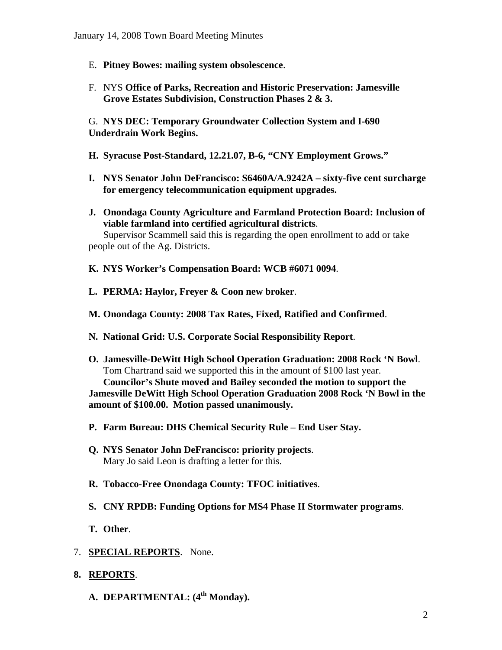- E. **Pitney Bowes: mailing system obsolescence**.
- F. NYS **Office of Parks, Recreation and Historic Preservation: Jamesville Grove Estates Subdivision, Construction Phases 2 & 3.**

G. **NYS DEC: Temporary Groundwater Collection System and I-690 Underdrain Work Begins.** 

- **H. Syracuse Post-Standard, 12.21.07, B-6, "CNY Employment Grows."**
- **I. NYS Senator John DeFrancisco: S6460A/A.9242A sixty-five cent surcharge for emergency telecommunication equipment upgrades.**
- **J. Onondaga County Agriculture and Farmland Protection Board: Inclusion of viable farmland into certified agricultural districts**. Supervisor Scammell said this is regarding the open enrollment to add or take people out of the Ag. Districts.
- **K. NYS Worker's Compensation Board: WCB #6071 0094**.
- **L. PERMA: Haylor, Freyer & Coon new broker**.
- **M. Onondaga County: 2008 Tax Rates, Fixed, Ratified and Confirmed**.
- **N. National Grid: U.S. Corporate Social Responsibility Report**.
- **O. Jamesville-DeWitt High School Operation Graduation: 2008 Rock 'N Bowl**. Tom Chartrand said we supported this in the amount of \$100 last year. **Councilor's Shute moved and Bailey seconded the motion to support the Jamesville DeWitt High School Operation Graduation 2008 Rock 'N Bowl in the amount of \$100.00. Motion passed unanimously.**
- **P. Farm Bureau: DHS Chemical Security Rule End User Stay.**
- **Q. NYS Senator John DeFrancisco: priority projects**. Mary Jo said Leon is drafting a letter for this.
- **R. Tobacco-Free Onondaga County: TFOC initiatives**.
- **S. CNY RPDB: Funding Options for MS4 Phase II Stormwater programs**.
- **T. Other**.
- 7. **SPECIAL REPORTS**. None.
- **8. REPORTS**.
	- A. **DEPARTMENTAL**: (4<sup>th</sup> Monday).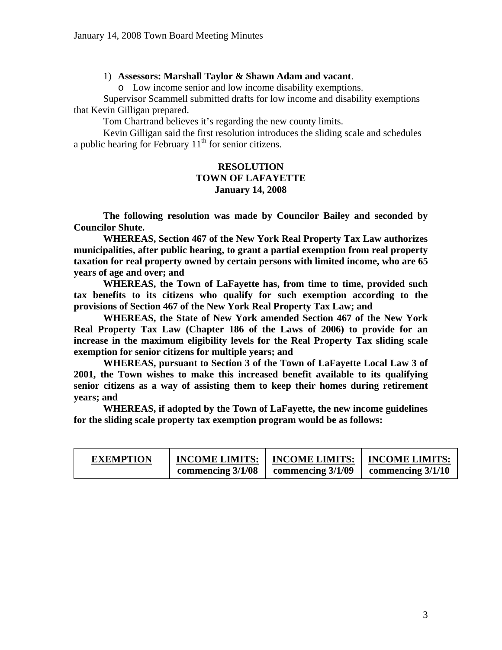#### 1) **Assessors: Marshall Taylor & Shawn Adam and vacant**.

o Low income senior and low income disability exemptions.

 Supervisor Scammell submitted drafts for low income and disability exemptions that Kevin Gilligan prepared.

Tom Chartrand believes it's regarding the new county limits.

 Kevin Gilligan said the first resolution introduces the sliding scale and schedules a public hearing for February  $11<sup>th</sup>$  for senior citizens.

## **RESOLUTION TOWN OF LAFAYETTE January 14, 2008**

 **The following resolution was made by Councilor Bailey and seconded by Councilor Shute.** 

 **WHEREAS, Section 467 of the New York Real Property Tax Law authorizes municipalities, after public hearing, to grant a partial exemption from real property taxation for real property owned by certain persons with limited income, who are 65 years of age and over; and** 

 **WHEREAS, the Town of LaFayette has, from time to time, provided such tax benefits to its citizens who qualify for such exemption according to the provisions of Section 467 of the New York Real Property Tax Law; and** 

 **WHEREAS, the State of New York amended Section 467 of the New York Real Property Tax Law (Chapter 186 of the Laws of 2006) to provide for an increase in the maximum eligibility levels for the Real Property Tax sliding scale exemption for senior citizens for multiple years; and** 

 **WHEREAS, pursuant to Section 3 of the Town of LaFayette Local Law 3 of 2001, the Town wishes to make this increased benefit available to its qualifying senior citizens as a way of assisting them to keep their homes during retirement years; and** 

 **WHEREAS, if adopted by the Town of LaFayette, the new income guidelines for the sliding scale property tax exemption program would be as follows:** 

| <b>EXEMPTION</b> | <b>INCOME LIMITS:</b> | <b>INCOME LIMITS:</b> | <b>INCOME LIMITS:</b> |
|------------------|-----------------------|-----------------------|-----------------------|
|                  | commencing $3/1/08$   | commencing $3/1/09$   | commencing $3/1/10$   |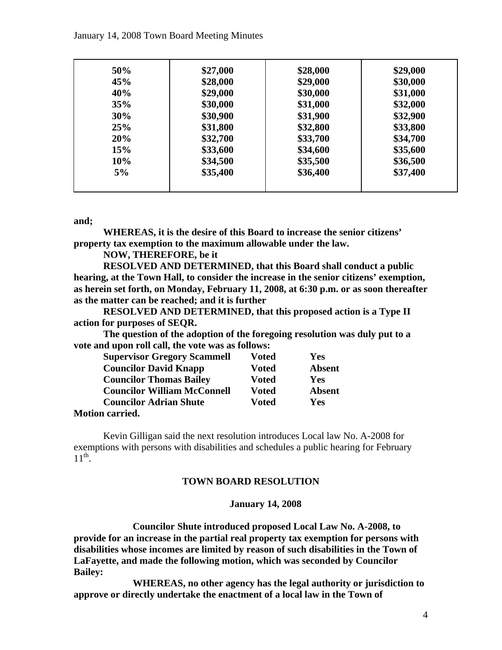#### January 14, 2008 Town Board Meeting Minutes

| 50% | \$27,000 | \$28,000 | \$29,000 |
|-----|----------|----------|----------|
| 45% | \$28,000 | \$29,000 | \$30,000 |
| 40% | \$29,000 | \$30,000 | \$31,000 |
| 35% | \$30,000 | \$31,000 | \$32,000 |
| 30% | \$30,900 | \$31,900 | \$32,900 |
| 25% | \$31,800 | \$32,800 | \$33,800 |
| 20% | \$32,700 | \$33,700 | \$34,700 |
| 15% | \$33,600 | \$34,600 | \$35,600 |
| 10% | \$34,500 | \$35,500 | \$36,500 |
| 5%  | \$35,400 | \$36,400 | \$37,400 |
|     |          |          |          |

#### **and;**

 **WHEREAS, it is the desire of this Board to increase the senior citizens' property tax exemption to the maximum allowable under the law.** 

 **NOW, THEREFORE, be it** 

 **RESOLVED AND DETERMINED, that this Board shall conduct a public hearing, at the Town Hall, to consider the increase in the senior citizens' exemption, as herein set forth, on Monday, February 11, 2008, at 6:30 p.m. or as soon thereafter as the matter can be reached; and it is further** 

 **RESOLVED AND DETERMINED, that this proposed action is a Type II action for purposes of SEQR.** 

 **The question of the adoption of the foregoing resolution was duly put to a vote and upon roll call, the vote was as follows:** 

| <b>Supervisor Gregory Scammell</b>             | <b>Voted</b> | Yes           |
|------------------------------------------------|--------------|---------------|
| <b>Councilor David Knapp</b>                   | <b>Voted</b> | <b>Absent</b> |
| <b>Councilor Thomas Bailey</b>                 | <b>Voted</b> | Yes           |
| <b>Councilor William McConnell</b>             | <b>Voted</b> | <b>Absent</b> |
| <b>Councilor Adrian Shute</b>                  | <b>Voted</b> | Yes           |
| $M_{\odot}$ $\ddot{\mathbf{r}}$ are compact of |              |               |

#### **Motion carried.**

Kevin Gilligan said the next resolution introduces Local law No. A-2008 for exemptions with persons with disabilities and schedules a public hearing for February  $11^{\text{th}}$ .

#### **TOWN BOARD RESOLUTION**

#### **January 14, 2008**

 **Councilor Shute introduced proposed Local Law No. A-2008, to provide for an increase in the partial real property tax exemption for persons with disabilities whose incomes are limited by reason of such disabilities in the Town of LaFayette, and made the following motion, which was seconded by Councilor Bailey:** 

 **WHEREAS, no other agency has the legal authority or jurisdiction to approve or directly undertake the enactment of a local law in the Town of**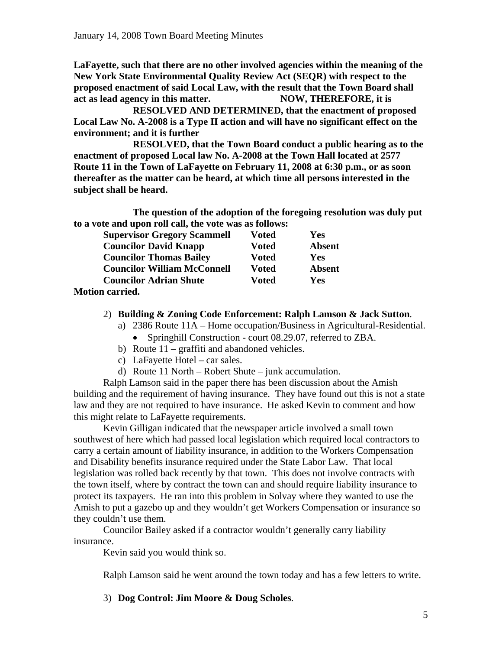**LaFayette, such that there are no other involved agencies within the meaning of the New York State Environmental Quality Review Act (SEQR) with respect to the proposed enactment of said Local Law, with the result that the Town Board shall act as lead agency in this matter. NOW, THEREFORE, it is** 

 **RESOLVED AND DETERMINED, that the enactment of proposed Local Law No. A-2008 is a Type II action and will have no significant effect on the environment; and it is further** 

 **RESOLVED, that the Town Board conduct a public hearing as to the enactment of proposed Local law No. A-2008 at the Town Hall located at 2577 Route 11 in the Town of LaFayette on February 11, 2008 at 6:30 p.m., or as soon thereafter as the matter can be heard, at which time all persons interested in the subject shall be heard.** 

 **The question of the adoption of the foregoing resolution was duly put to a vote and upon roll call, the vote was as follows:** 

| <b>Supervisor Gregory Scammell</b> | <b>Voted</b> | Yes           |
|------------------------------------|--------------|---------------|
| <b>Councilor David Knapp</b>       | <b>Voted</b> | <b>Absent</b> |
| <b>Councilor Thomas Bailey</b>     | Voted        | Yes           |
| <b>Councilor William McConnell</b> | <b>Voted</b> | <b>Absent</b> |
| <b>Councilor Adrian Shute</b>      | <b>Voted</b> | Yes           |
| <b>Motion carried.</b>             |              |               |

- 2) **Building & Zoning Code Enforcement: Ralph Lamson & Jack Sutton**.
	- a) 2386 Route 11A Home occupation/Business in Agricultural-Residential.
		- Springhill Construction court 08.29.07, referred to ZBA.
	- b) Route 11 graffiti and abandoned vehicles.
	- c) LaFayette Hotel car sales.
	- d) Route 11 North Robert Shute junk accumulation.

 Ralph Lamson said in the paper there has been discussion about the Amish building and the requirement of having insurance. They have found out this is not a state law and they are not required to have insurance. He asked Kevin to comment and how this might relate to LaFayette requirements.

 Kevin Gilligan indicated that the newspaper article involved a small town southwest of here which had passed local legislation which required local contractors to carry a certain amount of liability insurance, in addition to the Workers Compensation and Disability benefits insurance required under the State Labor Law. That local legislation was rolled back recently by that town. This does not involve contracts with the town itself, where by contract the town can and should require liability insurance to protect its taxpayers. He ran into this problem in Solvay where they wanted to use the Amish to put a gazebo up and they wouldn't get Workers Compensation or insurance so they couldn't use them.

 Councilor Bailey asked if a contractor wouldn't generally carry liability insurance.

Kevin said you would think so.

Ralph Lamson said he went around the town today and has a few letters to write.

3) **Dog Control: Jim Moore & Doug Scholes**.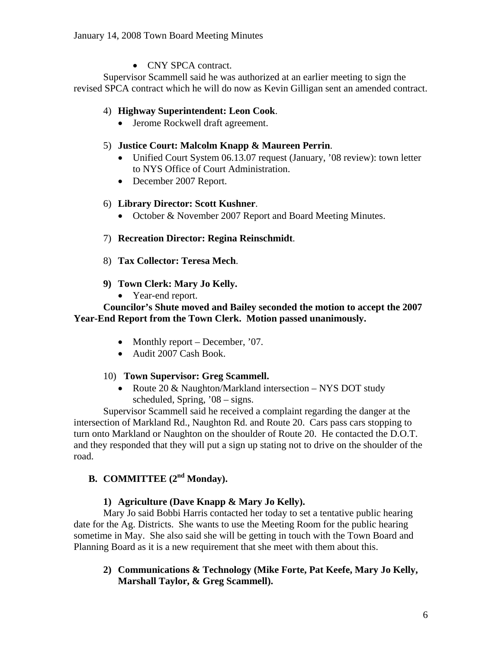• CNY SPCA contract.

 Supervisor Scammell said he was authorized at an earlier meeting to sign the revised SPCA contract which he will do now as Kevin Gilligan sent an amended contract.

## 4) **Highway Superintendent: Leon Cook**.

• Jerome Rockwell draft agreement.

## 5) **Justice Court: Malcolm Knapp & Maureen Perrin**.

- Unified Court System 06.13.07 request (January, '08 review): town letter to NYS Office of Court Administration.
- December 2007 Report.

## 6) **Library Director: Scott Kushner**.

• October & November 2007 Report and Board Meeting Minutes.

# 7) **Recreation Director: Regina Reinschmidt**.

- 8) **Tax Collector: Teresa Mech**.
- **9) Town Clerk: Mary Jo Kelly.** 
	- Year-end report.

## **Councilor's Shute moved and Bailey seconded the motion to accept the 2007 Year-End Report from the Town Clerk. Motion passed unanimously.**

- Monthly report December, '07.
- Audit 2007 Cash Book.

## 10) **Town Supervisor: Greg Scammell.**

• Route 20 & Naughton/Markland intersection – NYS DOT study scheduled, Spring, '08 – signs.

 Supervisor Scammell said he received a complaint regarding the danger at the intersection of Markland Rd., Naughton Rd. and Route 20. Cars pass cars stopping to turn onto Markland or Naughton on the shoulder of Route 20. He contacted the D.O.T. and they responded that they will put a sign up stating not to drive on the shoulder of the road.

# **B. COMMITTEE** (2<sup>nd</sup> Monday).

# **1) Agriculture (Dave Knapp & Mary Jo Kelly).**

 Mary Jo said Bobbi Harris contacted her today to set a tentative public hearing date for the Ag. Districts. She wants to use the Meeting Room for the public hearing sometime in May. She also said she will be getting in touch with the Town Board and Planning Board as it is a new requirement that she meet with them about this.

**2) Communications & Technology (Mike Forte, Pat Keefe, Mary Jo Kelly, Marshall Taylor, & Greg Scammell).**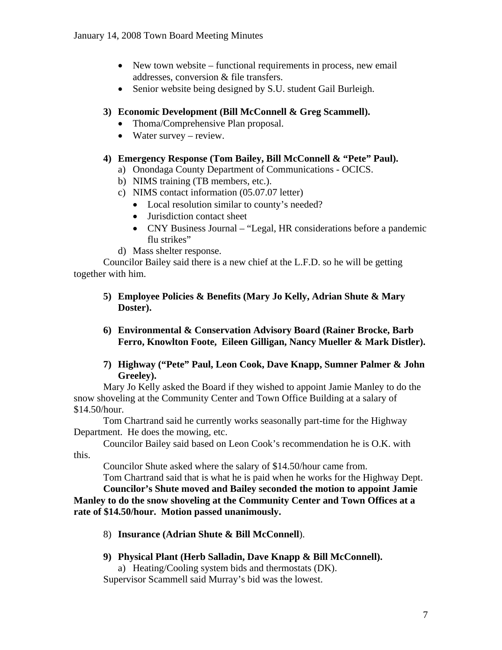- New town website functional requirements in process, new email addresses, conversion & file transfers.
- Senior website being designed by S.U. student Gail Burleigh.

## **3) Economic Development (Bill McConnell & Greg Scammell).**

- Thoma/Comprehensive Plan proposal.
- Water survey review.

## **4) Emergency Response (Tom Bailey, Bill McConnell & "Pete" Paul).**

- a) Onondaga County Department of Communications OCICS.
- b) NIMS training (TB members, etc.).
- c) NIMS contact information (05.07.07 letter)
	- Local resolution similar to county's needed?
	- Jurisdiction contact sheet
	- CNY Business Journal "Legal, HR considerations before a pandemic flu strikes"
- d) Mass shelter response.

 Councilor Bailey said there is a new chief at the L.F.D. so he will be getting together with him.

- **5) Employee Policies & Benefits (Mary Jo Kelly, Adrian Shute & Mary Doster).**
- **6) Environmental & Conservation Advisory Board (Rainer Brocke, Barb Ferro, Knowlton Foote, Eileen Gilligan, Nancy Mueller & Mark Distler).**
- **7) Highway ("Pete" Paul, Leon Cook, Dave Knapp, Sumner Palmer & John Greeley).**

 Mary Jo Kelly asked the Board if they wished to appoint Jamie Manley to do the snow shoveling at the Community Center and Town Office Building at a salary of \$14.50/hour.

 Tom Chartrand said he currently works seasonally part-time for the Highway Department. He does the mowing, etc.

 Councilor Bailey said based on Leon Cook's recommendation he is O.K. with this.

Councilor Shute asked where the salary of \$14.50/hour came from.

Tom Chartrand said that is what he is paid when he works for the Highway Dept.

**Councilor's Shute moved and Bailey seconded the motion to appoint Jamie Manley to do the snow shoveling at the Community Center and Town Offices at a rate of \$14.50/hour. Motion passed unanimously.** 

- 8) **Insurance (Adrian Shute & Bill McConnell**).
- **9) Physical Plant (Herb Salladin, Dave Knapp & Bill McConnell).**

a) Heating/Cooling system bids and thermostats (DK).

Supervisor Scammell said Murray's bid was the lowest.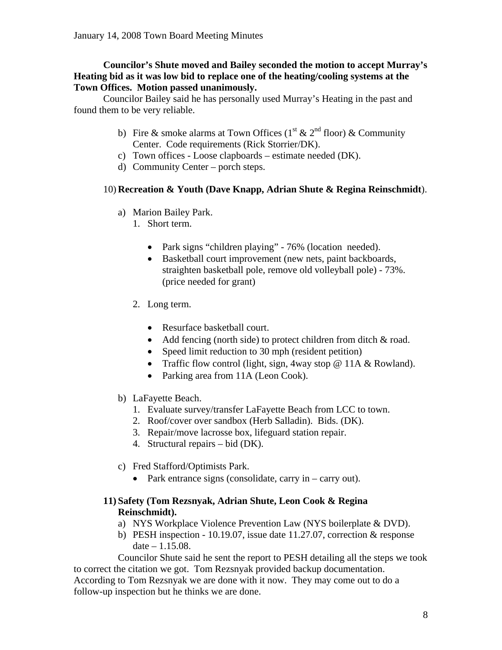## **Councilor's Shute moved and Bailey seconded the motion to accept Murray's Heating bid as it was low bid to replace one of the heating/cooling systems at the Town Offices. Motion passed unanimously.**

Councilor Bailey said he has personally used Murray's Heating in the past and found them to be very reliable.

- b) Fire & smoke alarms at Town Offices ( $1<sup>st</sup>$  &  $2<sup>nd</sup>$  floor) & Community Center. Code requirements (Rick Storrier/DK).
- c) Town offices Loose clapboards estimate needed (DK).
- d) Community Center porch steps.

## 10) **Recreation & Youth (Dave Knapp, Adrian Shute & Regina Reinschmidt**).

- a) Marion Bailey Park.
	- 1. Short term.
		- Park signs "children playing" 76% (location needed).
		- Basketball court improvement (new nets, paint backboards, straighten basketball pole, remove old volleyball pole) - 73%. (price needed for grant)
	- 2. Long term.
		- Resurface basketball court.
		- Add fencing (north side) to protect children from ditch & road.
		- Speed limit reduction to 30 mph (resident petition)
		- Traffic flow control (light, sign, 4way stop @ 11A & Rowland).
		- Parking area from 11A (Leon Cook).
- b) LaFayette Beach.
	- 1. Evaluate survey/transfer LaFayette Beach from LCC to town.
	- 2. Roof/cover over sandbox (Herb Salladin). Bids. (DK).
	- 3. Repair/move lacrosse box, lifeguard station repair.
	- 4. Structural repairs bid (DK).
- c) Fred Stafford/Optimists Park.
	- Park entrance signs (consolidate, carry in carry out).

## **11) Safety (Tom Rezsnyak, Adrian Shute, Leon Cook & Regina Reinschmidt).**

- a) NYS Workplace Violence Prevention Law (NYS boilerplate & DVD).
- b) PESH inspection 10.19.07, issue date 11.27.07, correction & response date – 1.15.08.

 Councilor Shute said he sent the report to PESH detailing all the steps we took to correct the citation we got. Tom Rezsnyak provided backup documentation. According to Tom Rezsnyak we are done with it now. They may come out to do a follow-up inspection but he thinks we are done.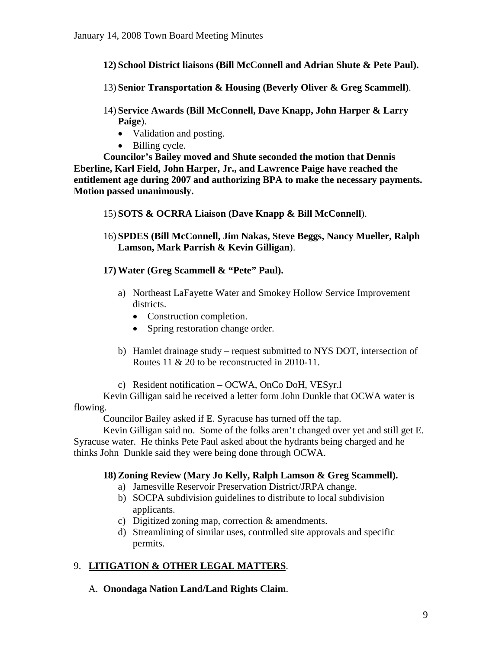- **12) School District liaisons (Bill McConnell and Adrian Shute & Pete Paul).**
- 13) **Senior Transportation & Housing (Beverly Oliver & Greg Scammell)**.
- 14) **Service Awards (Bill McConnell, Dave Knapp, John Harper & Larry Paige**).
	- Validation and posting.
	- Billing cycle.

 **Councilor's Bailey moved and Shute seconded the motion that Dennis Eberline, Karl Field, John Harper, Jr., and Lawrence Paige have reached the entitlement age during 2007 and authorizing BPA to make the necessary payments. Motion passed unanimously.** 

- 15) **SOTS & OCRRA Liaison (Dave Knapp & Bill McConnell**).
- 16) **SPDES (Bill McConnell, Jim Nakas, Steve Beggs, Nancy Mueller, Ralph Lamson, Mark Parrish & Kevin Gilligan**).
- **17) Water (Greg Scammell & "Pete" Paul).** 
	- a) Northeast LaFayette Water and Smokey Hollow Service Improvement districts.
		- Construction completion.
		- Spring restoration change order.
	- b) Hamlet drainage study request submitted to NYS DOT, intersection of Routes 11 & 20 to be reconstructed in 2010-11.
	- c) Resident notification OCWA, OnCo DoH, VESyr.l

 Kevin Gilligan said he received a letter form John Dunkle that OCWA water is flowing.

Councilor Bailey asked if E. Syracuse has turned off the tap.

 Kevin Gilligan said no. Some of the folks aren't changed over yet and still get E. Syracuse water. He thinks Pete Paul asked about the hydrants being charged and he thinks John Dunkle said they were being done through OCWA.

#### **18) Zoning Review (Mary Jo Kelly, Ralph Lamson & Greg Scammell).**

- a) Jamesville Reservoir Preservation District/JRPA change.
- b) SOCPA subdivision guidelines to distribute to local subdivision applicants.
- c) Digitized zoning map, correction & amendments.
- d) Streamlining of similar uses, controlled site approvals and specific permits.

## 9. **LITIGATION & OTHER LEGAL MATTERS**.

A. **Onondaga Nation Land/Land Rights Claim**.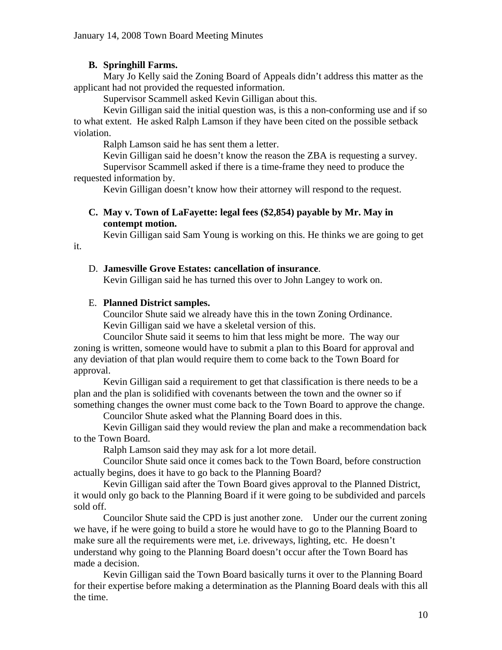## **B. Springhill Farms.**

 Mary Jo Kelly said the Zoning Board of Appeals didn't address this matter as the applicant had not provided the requested information.

Supervisor Scammell asked Kevin Gilligan about this.

 Kevin Gilligan said the initial question was, is this a non-conforming use and if so to what extent. He asked Ralph Lamson if they have been cited on the possible setback violation.

Ralph Lamson said he has sent them a letter.

 Kevin Gilligan said he doesn't know the reason the ZBA is requesting a survey. Supervisor Scammell asked if there is a time-frame they need to produce the requested information by.

Kevin Gilligan doesn't know how their attorney will respond to the request.

#### **C. May v. Town of LaFayette: legal fees (\$2,854) payable by Mr. May in contempt motion.**

Kevin Gilligan said Sam Young is working on this. He thinks we are going to get

# D. **Jamesville Grove Estates: cancellation of insurance**.

Kevin Gilligan said he has turned this over to John Langey to work on.

## E. **Planned District samples.**

it.

 Councilor Shute said we already have this in the town Zoning Ordinance. Kevin Gilligan said we have a skeletal version of this.

 Councilor Shute said it seems to him that less might be more. The way our zoning is written, someone would have to submit a plan to this Board for approval and any deviation of that plan would require them to come back to the Town Board for approval.

 Kevin Gilligan said a requirement to get that classification is there needs to be a plan and the plan is solidified with covenants between the town and the owner so if something changes the owner must come back to the Town Board to approve the change.

Councilor Shute asked what the Planning Board does in this.

 Kevin Gilligan said they would review the plan and make a recommendation back to the Town Board.

Ralph Lamson said they may ask for a lot more detail.

 Councilor Shute said once it comes back to the Town Board, before construction actually begins, does it have to go back to the Planning Board?

 Kevin Gilligan said after the Town Board gives approval to the Planned District, it would only go back to the Planning Board if it were going to be subdivided and parcels sold off.

 Councilor Shute said the CPD is just another zone. Under our the current zoning we have, if he were going to build a store he would have to go to the Planning Board to make sure all the requirements were met, i.e. driveways, lighting, etc. He doesn't understand why going to the Planning Board doesn't occur after the Town Board has made a decision.

 Kevin Gilligan said the Town Board basically turns it over to the Planning Board for their expertise before making a determination as the Planning Board deals with this all the time.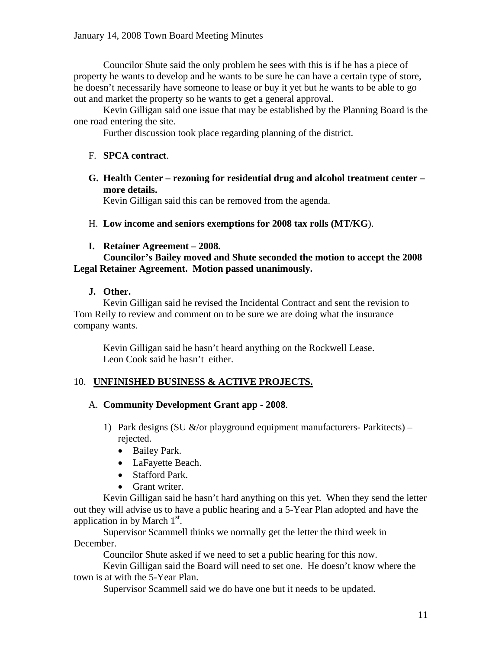Councilor Shute said the only problem he sees with this is if he has a piece of property he wants to develop and he wants to be sure he can have a certain type of store, he doesn't necessarily have someone to lease or buy it yet but he wants to be able to go out and market the property so he wants to get a general approval.

 Kevin Gilligan said one issue that may be established by the Planning Board is the one road entering the site.

Further discussion took place regarding planning of the district.

## F. **SPCA contract**.

**G. Health Center – rezoning for residential drug and alcohol treatment center – more details.** 

Kevin Gilligan said this can be removed from the agenda.

- H. **Low income and seniors exemptions for 2008 tax rolls (MT/KG**).
- **I. Retainer Agreement 2008.**

#### **Councilor's Bailey moved and Shute seconded the motion to accept the 2008 Legal Retainer Agreement. Motion passed unanimously.**

## **J. Other.**

 Kevin Gilligan said he revised the Incidental Contract and sent the revision to Tom Reily to review and comment on to be sure we are doing what the insurance company wants.

 Kevin Gilligan said he hasn't heard anything on the Rockwell Lease. Leon Cook said he hasn't either.

## 10. **UNFINISHED BUSINESS & ACTIVE PROJECTS.**

## A. **Community Development Grant app - 2008**.

- 1) Park designs (SU  $\&$ /or playground equipment manufacturers- Parkitects) rejected.
	- Bailey Park.
	- LaFayette Beach.
	- Stafford Park.
	- Grant writer.

 Kevin Gilligan said he hasn't hard anything on this yet. When they send the letter out they will advise us to have a public hearing and a 5-Year Plan adopted and have the application in by March  $1<sup>st</sup>$ .

 Supervisor Scammell thinks we normally get the letter the third week in December.

Councilor Shute asked if we need to set a public hearing for this now.

 Kevin Gilligan said the Board will need to set one. He doesn't know where the town is at with the 5-Year Plan.

Supervisor Scammell said we do have one but it needs to be updated.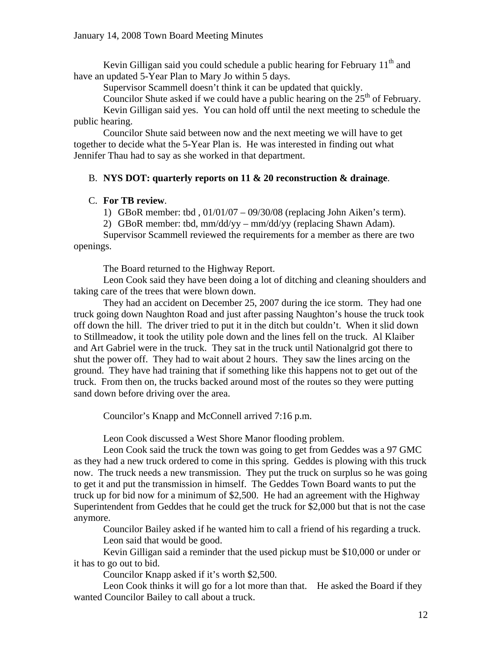Kevin Gilligan said you could schedule a public hearing for February  $11<sup>th</sup>$  and have an updated 5-Year Plan to Mary Jo within 5 days.

Supervisor Scammell doesn't think it can be updated that quickly.

Councilor Shute asked if we could have a public hearing on the  $25<sup>th</sup>$  of February.

 Kevin Gilligan said yes. You can hold off until the next meeting to schedule the public hearing.

 Councilor Shute said between now and the next meeting we will have to get together to decide what the 5-Year Plan is. He was interested in finding out what Jennifer Thau had to say as she worked in that department.

#### B. **NYS DOT: quarterly reports on 11 & 20 reconstruction & drainage**.

#### C. **For TB review**.

1) GBoR member: tbd , 01/01/07 – 09/30/08 (replacing John Aiken's term).

2) GBoR member: tbd, mm/dd/yy – mm/dd/yy (replacing Shawn Adam).

 Supervisor Scammell reviewed the requirements for a member as there are two openings.

The Board returned to the Highway Report.

 Leon Cook said they have been doing a lot of ditching and cleaning shoulders and taking care of the trees that were blown down.

 They had an accident on December 25, 2007 during the ice storm. They had one truck going down Naughton Road and just after passing Naughton's house the truck took off down the hill. The driver tried to put it in the ditch but couldn't. When it slid down to Stillmeadow, it took the utility pole down and the lines fell on the truck. Al Klaiber and Art Gabriel were in the truck. They sat in the truck until Nationalgrid got there to shut the power off. They had to wait about 2 hours. They saw the lines arcing on the ground. They have had training that if something like this happens not to get out of the truck. From then on, the trucks backed around most of the routes so they were putting sand down before driving over the area.

Councilor's Knapp and McConnell arrived 7:16 p.m.

Leon Cook discussed a West Shore Manor flooding problem.

 Leon Cook said the truck the town was going to get from Geddes was a 97 GMC as they had a new truck ordered to come in this spring. Geddes is plowing with this truck now. The truck needs a new transmission. They put the truck on surplus so he was going to get it and put the transmission in himself. The Geddes Town Board wants to put the truck up for bid now for a minimum of \$2,500. He had an agreement with the Highway Superintendent from Geddes that he could get the truck for \$2,000 but that is not the case anymore.

 Councilor Bailey asked if he wanted him to call a friend of his regarding a truck. Leon said that would be good.

 Kevin Gilligan said a reminder that the used pickup must be \$10,000 or under or it has to go out to bid.

Councilor Knapp asked if it's worth \$2,500.

 Leon Cook thinks it will go for a lot more than that. He asked the Board if they wanted Councilor Bailey to call about a truck.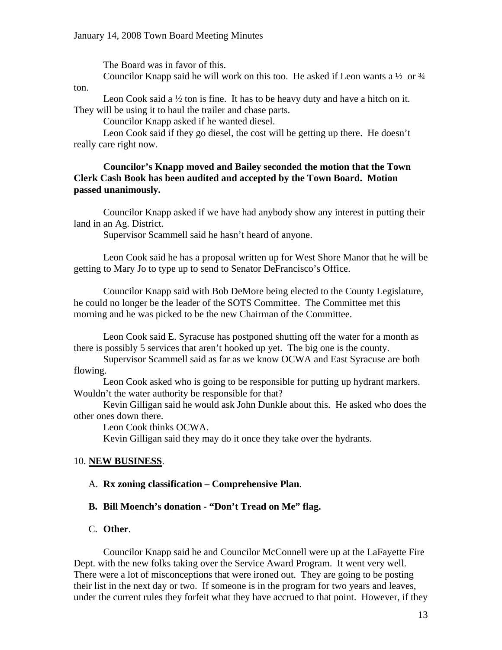The Board was in favor of this. Councilor Knapp said he will work on this too. He asked if Leon wants a  $\frac{1}{2}$  or  $\frac{3}{4}$ 

ton.

 Leon Cook said a ½ ton is fine. It has to be heavy duty and have a hitch on it. They will be using it to haul the trailer and chase parts.

Councilor Knapp asked if he wanted diesel.

 Leon Cook said if they go diesel, the cost will be getting up there. He doesn't really care right now.

#### **Councilor's Knapp moved and Bailey seconded the motion that the Town Clerk Cash Book has been audited and accepted by the Town Board. Motion passed unanimously.**

Councilor Knapp asked if we have had anybody show any interest in putting their land in an Ag. District.

Supervisor Scammell said he hasn't heard of anyone.

 Leon Cook said he has a proposal written up for West Shore Manor that he will be getting to Mary Jo to type up to send to Senator DeFrancisco's Office.

 Councilor Knapp said with Bob DeMore being elected to the County Legislature, he could no longer be the leader of the SOTS Committee. The Committee met this morning and he was picked to be the new Chairman of the Committee.

 Leon Cook said E. Syracuse has postponed shutting off the water for a month as there is possibly 5 services that aren't hooked up yet. The big one is the county.

 Supervisor Scammell said as far as we know OCWA and East Syracuse are both flowing.

 Leon Cook asked who is going to be responsible for putting up hydrant markers. Wouldn't the water authority be responsible for that?

 Kevin Gilligan said he would ask John Dunkle about this. He asked who does the other ones down there.

Leon Cook thinks OCWA.

Kevin Gilligan said they may do it once they take over the hydrants.

#### 10. **NEW BUSINESS**.

#### A. **Rx zoning classification – Comprehensive Plan**.

#### **B. Bill Moench's donation - "Don't Tread on Me" flag.**

#### C. **Other**.

 Councilor Knapp said he and Councilor McConnell were up at the LaFayette Fire Dept. with the new folks taking over the Service Award Program. It went very well. There were a lot of misconceptions that were ironed out. They are going to be posting their list in the next day or two. If someone is in the program for two years and leaves, under the current rules they forfeit what they have accrued to that point. However, if they